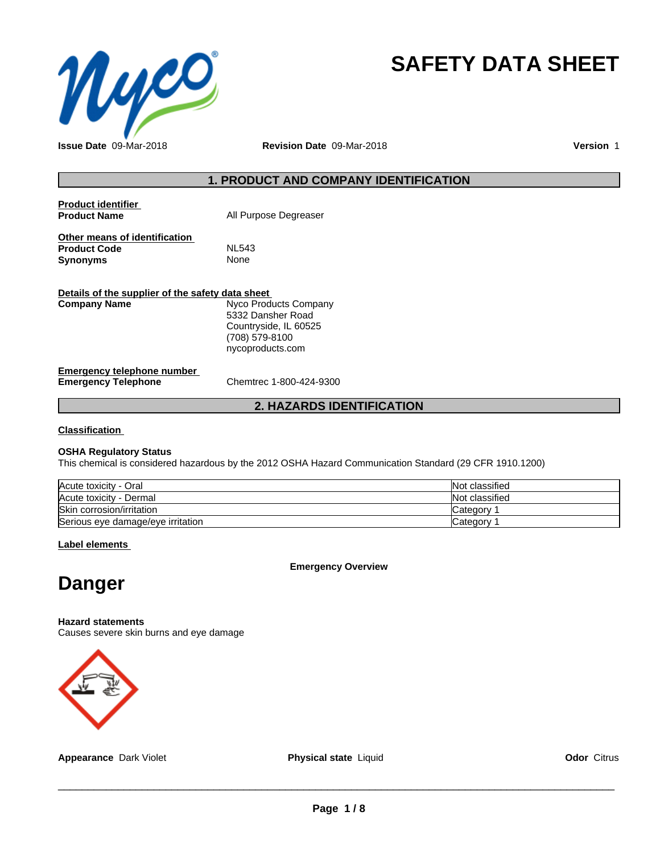

# **SAFETY DATA SHEET**

**Issue Date** 09-Mar-2018 **Revision Date** 09-Mar-2018 **Version** 1

### **1. PRODUCT AND COMPANY IDENTIFICATION**

| <b>Product identifier</b><br><b>Product Name</b>                        | All Purpose Degreaser                                                                                     |  |
|-------------------------------------------------------------------------|-----------------------------------------------------------------------------------------------------------|--|
| Other means of identification<br><b>Product Code</b><br><b>Synonyms</b> | NL543<br>None                                                                                             |  |
| Details of the supplier of the safety data sheet                        |                                                                                                           |  |
| <b>Company Name</b>                                                     | Nyco Products Company<br>5332 Dansher Road<br>Countryside, IL 60525<br>(708) 579-8100<br>nycoproducts.com |  |
| Emergency telephone number<br><b>Emergency Telephone</b>                | Chemtrec 1-800-424-9300                                                                                   |  |

**2. HAZARDS IDENTIFICATION**

**Classification**

#### **OSHA Regulatory Status**

This chemical is considered hazardous by the 2012 OSHA Hazard Communication Standard (29 CFR 1910.1200)

| Acute toxicity - Oral             | Not classified |
|-----------------------------------|----------------|
| Acute toxicity - Dermal           | Not classified |
| Skin corrosion/irritation         | Category       |
| Serious eye damage/eye irritation | Category       |

**Label elements**

**Emergency Overview**

# **Danger**

**Hazard statements**

Causes severe skin burns and eye damage



**Appearance** Dark Violet **Physical state** Liquid **Odor** Citrus

 $\overline{\phantom{a}}$  ,  $\overline{\phantom{a}}$  ,  $\overline{\phantom{a}}$  ,  $\overline{\phantom{a}}$  ,  $\overline{\phantom{a}}$  ,  $\overline{\phantom{a}}$  ,  $\overline{\phantom{a}}$  ,  $\overline{\phantom{a}}$  ,  $\overline{\phantom{a}}$  ,  $\overline{\phantom{a}}$  ,  $\overline{\phantom{a}}$  ,  $\overline{\phantom{a}}$  ,  $\overline{\phantom{a}}$  ,  $\overline{\phantom{a}}$  ,  $\overline{\phantom{a}}$  ,  $\overline{\phantom{a}}$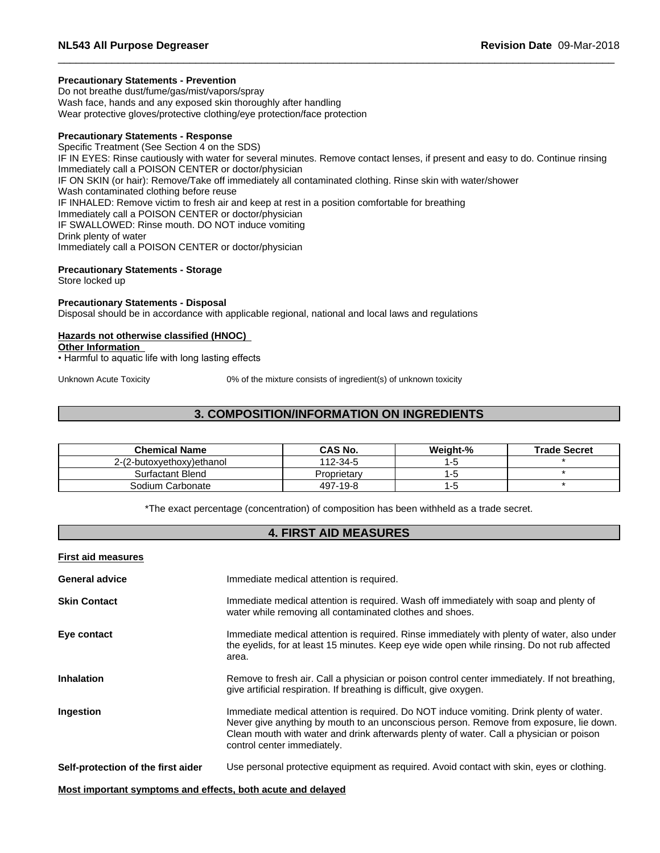#### **Precautionary Statements - Prevention**

Do not breathe dust/fume/gas/mist/vapors/spray Wash face, hands and any exposed skin thoroughly after handling Wear protective gloves/protective clothing/eye protection/face protection

#### **Precautionary Statements - Response**

Specific Treatment (See Section 4 on the SDS) IF IN EYES: Rinse cautiously with water for several minutes. Remove contact lenses, if present and easy to do. Continue rinsing Immediately call a POISON CENTER or doctor/physician IF ON SKIN (or hair): Remove/Take off immediately all contaminated clothing. Rinse skin with water/shower Wash contaminated clothing before reuse IF INHALED: Remove victim to fresh air and keep at rest in a position comfortable for breathing Immediately call a POISON CENTER or doctor/physician IF SWALLOWED: Rinse mouth. DO NOT induce vomiting Drink plenty of water Immediately call a POISON CENTER or doctor/physician

# **Precautionary Statements - Storage**

Store locked up

#### **Precautionary Statements - Disposal**

Disposal should be in accordance with applicable regional, national and local laws and regulations

#### **Hazards not otherwise classified (HNOC)**

**Other Information**

• Harmful to aquatic life with long lasting effects

Unknown Acute Toxicity 0% of the mixture consists of ingredient(s) of unknown toxicity

# **3. COMPOSITION/INFORMATION ON INGREDIENTS**

| <b>Chemical Name</b>      | <b>CAS No.</b> | Weight-% | <b>Trade Secret</b> |
|---------------------------|----------------|----------|---------------------|
| 2-(2-butoxyethoxy)ethanol | 112-34-5       |          |                     |
| Surfactant Blend          | Proprietary    |          |                     |
| Sodium Carbonate          | 497-19-8       |          |                     |

\*The exact percentage (concentration) of composition has been withheld as a trade secret.

## **4. FIRST AID MEASURES**

| <b>First aid measures</b>                                   |                                                                                                                                                                                                                                                                                                             |
|-------------------------------------------------------------|-------------------------------------------------------------------------------------------------------------------------------------------------------------------------------------------------------------------------------------------------------------------------------------------------------------|
| <b>General advice</b>                                       | Immediate medical attention is required.                                                                                                                                                                                                                                                                    |
| <b>Skin Contact</b>                                         | Immediate medical attention is required. Wash off immediately with soap and plenty of<br>water while removing all contaminated clothes and shoes.                                                                                                                                                           |
| Eye contact                                                 | Immediate medical attention is required. Rinse immediately with plenty of water, also under<br>the eyelids, for at least 15 minutes. Keep eye wide open while rinsing. Do not rub affected<br>area.                                                                                                         |
| <b>Inhalation</b>                                           | Remove to fresh air. Call a physician or poison control center immediately. If not breathing,<br>give artificial respiration. If breathing is difficult, give oxygen.                                                                                                                                       |
| <b>Ingestion</b>                                            | Immediate medical attention is required. Do NOT induce vomiting. Drink plenty of water.<br>Never give anything by mouth to an unconscious person. Remove from exposure, lie down.<br>Clean mouth with water and drink afterwards plenty of water. Call a physician or poison<br>control center immediately. |
| Self-protection of the first aider                          | Use personal protective equipment as required. Avoid contact with skin, eyes or clothing.                                                                                                                                                                                                                   |
| Most important symptoms and effects, both acute and delayed |                                                                                                                                                                                                                                                                                                             |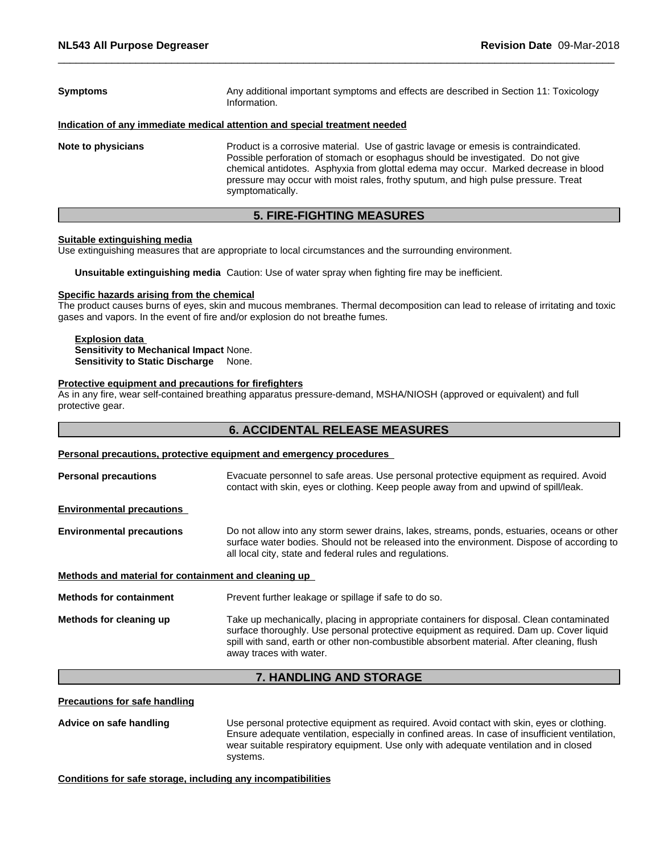| <b>Symptoms</b>    | Any additional important symptoms and effects are described in Section 11: Toxicology<br>Information.                                                                                                                                                                                                                                                                     |  |
|--------------------|---------------------------------------------------------------------------------------------------------------------------------------------------------------------------------------------------------------------------------------------------------------------------------------------------------------------------------------------------------------------------|--|
|                    | Indication of any immediate medical attention and special treatment needed                                                                                                                                                                                                                                                                                                |  |
| Note to physicians | Product is a corrosive material. Use of gastric lavage or emesis is contraindicated.<br>Possible perforation of stomach or esophagus should be investigated. Do not give<br>chemical antidotes. Asphyxia from glottal edema may occur. Marked decrease in blood<br>pressure may occur with moist rales, frothy sputum, and high pulse pressure. Treat<br>symptomatically. |  |

#### **5. FIRE-FIGHTING MEASURES**

#### **Suitable extinguishing media**

Use extinguishing measures that are appropriate to local circumstances and the surrounding environment.

**Unsuitable extinguishing media** Caution: Use of water spray when fighting fire may be inefficient.

#### **Specific hazards arising from the chemical**

The product causes burns of eyes, skin and mucous membranes. Thermal decomposition can lead to release of irritating and toxic gases and vapors. In the event of fire and/or explosion do not breathe fumes.

# **Explosion data**

**Sensitivity to Mechanical Impact** None. **Sensitivity to Static Discharge** None.

#### **Protective equipment and precautions for firefighters**

As in any fire, wear self-contained breathing apparatus pressure-demand, MSHA/NIOSH (approved or equivalent) and full protective gear.

### **6. ACCIDENTAL RELEASE MEASURES**

#### **Personal precautions, protective equipment and emergency procedures**

|                                                      | <b>7. HANDLING AND STORAGE</b>                                                                                                                                                                                                                                                                              |  |  |
|------------------------------------------------------|-------------------------------------------------------------------------------------------------------------------------------------------------------------------------------------------------------------------------------------------------------------------------------------------------------------|--|--|
| Methods for cleaning up                              | Take up mechanically, placing in appropriate containers for disposal. Clean contaminated<br>surface thoroughly. Use personal protective equipment as required. Dam up. Cover liquid<br>spill with sand, earth or other non-combustible absorbent material. After cleaning, flush<br>away traces with water. |  |  |
| <b>Methods for containment</b>                       | Prevent further leakage or spillage if safe to do so.                                                                                                                                                                                                                                                       |  |  |
| Methods and material for containment and cleaning up |                                                                                                                                                                                                                                                                                                             |  |  |
| <b>Environmental precautions</b>                     | Do not allow into any storm sewer drains, lakes, streams, ponds, estuaries, oceans or other<br>surface water bodies. Should not be released into the environment. Dispose of according to<br>all local city, state and federal rules and regulations.                                                       |  |  |
| <b>Environmental precautions</b>                     |                                                                                                                                                                                                                                                                                                             |  |  |
| <b>Personal precautions</b>                          | Evacuate personnel to safe areas. Use personal protective equipment as required. Avoid<br>contact with skin, eyes or clothing. Keep people away from and upwind of spill/leak.                                                                                                                              |  |  |
|                                                      |                                                                                                                                                                                                                                                                                                             |  |  |

# **Precautions for safe handling**

**Advice on safe handling** Use personal protective equipment as required.Avoid contact with skin, eyes or clothing. Ensure adequate ventilation, especially in confined areas. In case of insufficient ventilation, wear suitable respiratory equipment. Use only with adequate ventilation and in closed systems.

#### **Conditions for safe storage, including any incompatibilities**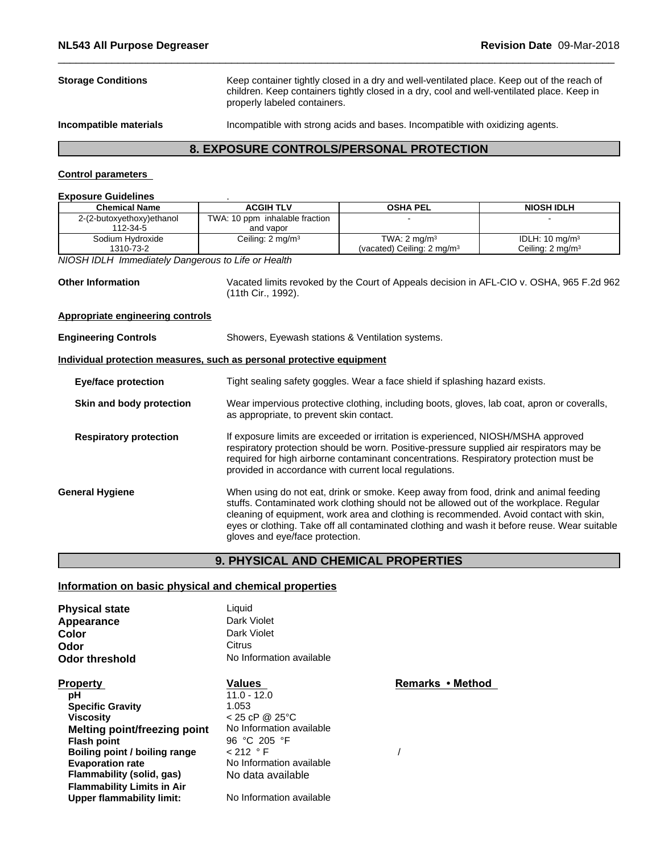**Storage Conditions** Keep container tightly closed in a dry and well-ventilated place. Keep out of the reach of children. Keep containers tightly closed in a dry, cool and well-ventilated place. Keep in properly labeled containers.

**Incompatible materials** Incompatible with strong acids and bases. Incompatible with oxidizing agents.

# **8. EXPOSURE CONTROLS/PERSONAL PROTECTION**

#### **Control parameters**

#### **Exposure Guidelines** .

| <b>Chemical Name</b>                                                  | <b>ACGIH TLV</b>                                 | <b>OSHA PEL</b>                                                                                                                                                                                                                                                                                                                                                          | <b>NIOSH IDLH</b>                                                                        |  |
|-----------------------------------------------------------------------|--------------------------------------------------|--------------------------------------------------------------------------------------------------------------------------------------------------------------------------------------------------------------------------------------------------------------------------------------------------------------------------------------------------------------------------|------------------------------------------------------------------------------------------|--|
| 2-(2-butoxyethoxy)ethanol                                             | TWA: 10 ppm inhalable fraction                   |                                                                                                                                                                                                                                                                                                                                                                          |                                                                                          |  |
| 112-34-5                                                              | and vapor                                        |                                                                                                                                                                                                                                                                                                                                                                          |                                                                                          |  |
| Sodium Hydroxide                                                      | Ceiling: 2 mg/m <sup>3</sup>                     | TWA: $2 \text{ mg/m}^3$                                                                                                                                                                                                                                                                                                                                                  | IDLH: 10 mg/m <sup>3</sup>                                                               |  |
| 1310-73-2                                                             |                                                  | (vacated) Ceiling: 2 mg/m <sup>3</sup>                                                                                                                                                                                                                                                                                                                                   | Ceiling: 2 mg/m <sup>3</sup>                                                             |  |
| NIOSH IDLH Immediately Dangerous to Life or Health                    |                                                  |                                                                                                                                                                                                                                                                                                                                                                          |                                                                                          |  |
| <b>Other Information</b>                                              | (11th Cir., 1992).                               |                                                                                                                                                                                                                                                                                                                                                                          | Vacated limits revoked by the Court of Appeals decision in AFL-CIO v. OSHA, 965 F.2d 962 |  |
| <b>Appropriate engineering controls</b>                               |                                                  |                                                                                                                                                                                                                                                                                                                                                                          |                                                                                          |  |
| <b>Engineering Controls</b>                                           | Showers, Eyewash stations & Ventilation systems. |                                                                                                                                                                                                                                                                                                                                                                          |                                                                                          |  |
| Individual protection measures, such as personal protective equipment |                                                  |                                                                                                                                                                                                                                                                                                                                                                          |                                                                                          |  |
| <b>Eye/face protection</b>                                            |                                                  | Tight sealing safety goggles. Wear a face shield if splashing hazard exists.                                                                                                                                                                                                                                                                                             |                                                                                          |  |
| Skin and body protection                                              |                                                  | Wear impervious protective clothing, including boots, gloves, lab coat, apron or coveralls,<br>as appropriate, to prevent skin contact.                                                                                                                                                                                                                                  |                                                                                          |  |
| <b>Respiratory protection</b>                                         |                                                  | If exposure limits are exceeded or irritation is experienced, NIOSH/MSHA approved<br>respiratory protection should be worn. Positive-pressure supplied air respirators may be<br>required for high airborne contaminant concentrations. Respiratory protection must be<br>provided in accordance with current local regulations.                                         |                                                                                          |  |
| <b>General Hygiene</b>                                                | gloves and eye/face protection.                  | When using do not eat, drink or smoke. Keep away from food, drink and animal feeding<br>stuffs. Contaminated work clothing should not be allowed out of the workplace. Regular<br>cleaning of equipment, work area and clothing is recommended. Avoid contact with skin,<br>eyes or clothing. Take off all contaminated clothing and wash it before reuse. Wear suitable |                                                                                          |  |

### **9. PHYSICAL AND CHEMICAL PROPERTIES**

## **Information on basic physical and chemical properties**

**Flammability (solid, gas)** No data available

**Upper flammability limit:** No Information available

**Boiling point / boiling range<br>Evaporation rate** 

**Flammability Limits in Air**

| <b>Physical state</b>         | Liquid                   |             |
|-------------------------------|--------------------------|-------------|
| Appearance                    | Dark Violet              |             |
| Color                         | Dark Violet              |             |
| Odor                          | Citrus                   |             |
| Odor threshold                | No Information available |             |
| <b>Property</b>               | Values                   | Remarks • N |
| рH                            | $11.0 - 12.0$            |             |
| <b>Specific Gravity</b>       | 1.053                    |             |
| <b>Viscosity</b>              | $< 25$ cP @ 25 °C        |             |
| Melting point/freezing point  | No Information available |             |
| <b>Flash point</b>            | 96 °C 205 °F             |             |
| Boiling point / boiling range | < 212  ° F               |             |

**No Information available** 

**Property CONFIDENT**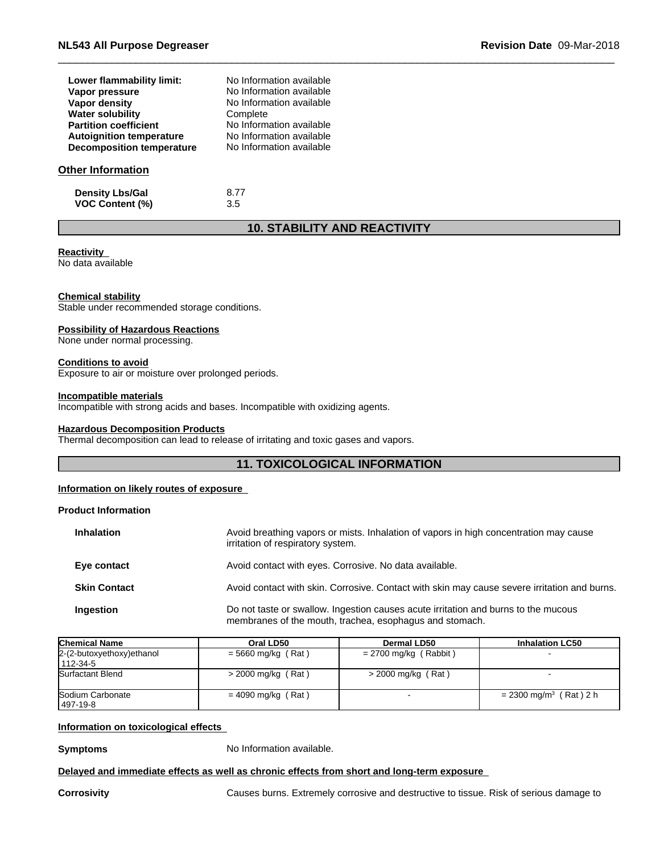| Lower flammability limit:        | No Information available |  |
|----------------------------------|--------------------------|--|
| Vapor pressure                   | No Information available |  |
| Vapor density                    | No Information available |  |
| <b>Water solubility</b>          | Complete                 |  |
| <b>Partition coefficient</b>     | No Information available |  |
| <b>Autoignition temperature</b>  | No Information available |  |
| <b>Decomposition temperature</b> | No Information available |  |
|                                  |                          |  |
| Nthar Infarmatian                |                          |  |

#### **Other Information**

**Density Lbs/Gal** 8.77<br> **VOC Content (%)** 3.5 **VOC** Content (%)

# **10. STABILITY AND REACTIVITY**

#### **Reactivity**

No data available

#### **Chemical stability**

Stable under recommended storage conditions.

#### **Possibility of Hazardous Reactions**

None under normal processing.

#### **Conditions to avoid**

Exposure to air or moisture over prolonged periods.

#### **Incompatible materials**

Incompatible with strong acids and bases. Incompatible with oxidizing agents.

#### **Hazardous Decomposition Products**

Thermal decomposition can lead to release of irritating and toxic gases and vapors.

### **11. TOXICOLOGICAL INFORMATION**

#### **Information on likely routes of exposure**

#### **Product Information**

| <b>Inhalation</b>   | Avoid breathing vapors or mists. Inhalation of vapors in high concentration may cause<br>irritation of respiratory system.                    |
|---------------------|-----------------------------------------------------------------------------------------------------------------------------------------------|
| Eye contact         | Avoid contact with eyes. Corrosive. No data available.                                                                                        |
| <b>Skin Contact</b> | Avoid contact with skin. Corrosive. Contact with skin may cause severe irritation and burns.                                                  |
| Ingestion           | Do not taste or swallow. Ingestion causes acute irritation and burns to the mucous<br>membranes of the mouth, trachea, esophagus and stomach. |

| <b>Chemical Name</b>                   | Oral LD50            | Dermal LD50             | <b>Inhalation LC50</b>               |
|----------------------------------------|----------------------|-------------------------|--------------------------------------|
| 2-(2-butoxyethoxy) ethanol<br>112-34-5 | $= 5660$ mg/kg (Rat) | $= 2700$ mg/kg (Rabbit) |                                      |
| Surfactant Blend                       | $>$ 2000 mg/kg (Rat) | $>$ 2000 mg/kg (Rat)    |                                      |
| Sodium Carbonate<br>497-19-8           | $= 4090$ mg/kg (Rat) |                         | $= 2300$ mg/m <sup>3</sup> (Rat) 2 h |

#### **Information on toxicological effects**

**Symptoms** No Information available.

#### **Delayed and immediate effects as well as chronic effects from short and long-term exposure**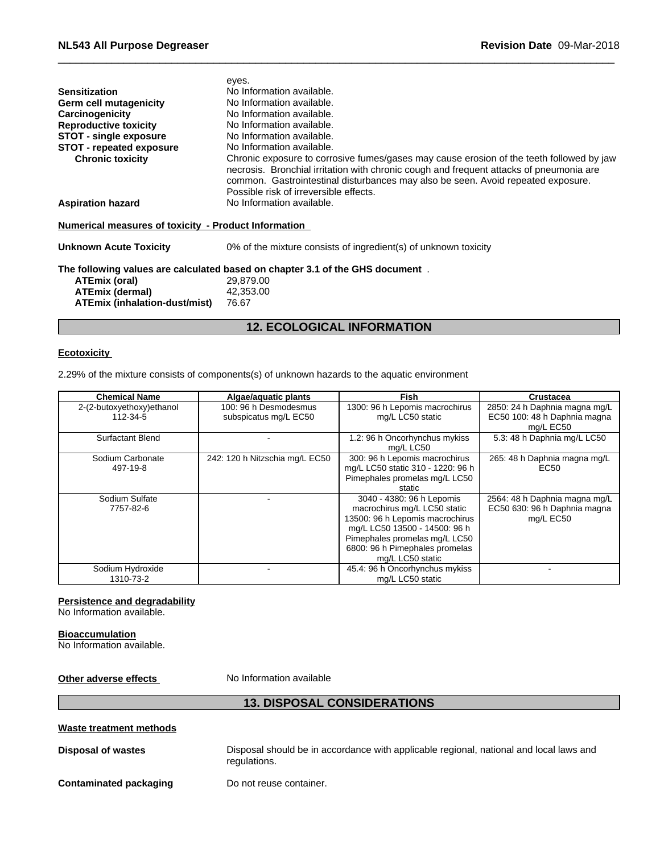|                                                      | eyes.                                                                                                                                                                                                                                                                                                             |
|------------------------------------------------------|-------------------------------------------------------------------------------------------------------------------------------------------------------------------------------------------------------------------------------------------------------------------------------------------------------------------|
| <b>Sensitization</b>                                 | No Information available.                                                                                                                                                                                                                                                                                         |
| Germ cell mutagenicity                               | No Information available.                                                                                                                                                                                                                                                                                         |
| Carcinogenicity                                      | No Information available.                                                                                                                                                                                                                                                                                         |
| <b>Reproductive toxicity</b>                         | No Information available.                                                                                                                                                                                                                                                                                         |
| <b>STOT - single exposure</b>                        | No Information available.                                                                                                                                                                                                                                                                                         |
| <b>STOT - repeated exposure</b>                      | No Information available.                                                                                                                                                                                                                                                                                         |
| <b>Chronic toxicity</b>                              | Chronic exposure to corrosive fumes/gases may cause erosion of the teeth followed by jaw<br>necrosis. Bronchial irritation with chronic cough and frequent attacks of pneumonia are<br>common. Gastrointestinal disturbances may also be seen. Avoid repeated exposure.<br>Possible risk of irreversible effects. |
| <b>Aspiration hazard</b>                             | No Information available.                                                                                                                                                                                                                                                                                         |
| Numerical measures of toxicity - Product Information |                                                                                                                                                                                                                                                                                                                   |
| <b>Unknown Acute Toxicity</b>                        | 0% of the mixture consists of ingredient(s) of unknown toxicity                                                                                                                                                                                                                                                   |
|                                                      | The following values are calculated based on chapter 3.1 of the GHS document.                                                                                                                                                                                                                                     |
| ATEmix (oral)                                        | 29,879.00                                                                                                                                                                                                                                                                                                         |
| <b>ATEmix (dermal)</b>                               | 42,353.00                                                                                                                                                                                                                                                                                                         |
| <b>ATEmix (inhalation-dust/mist)</b>                 | 76.67                                                                                                                                                                                                                                                                                                             |
|                                                      |                                                                                                                                                                                                                                                                                                                   |

# **12. ECOLOGICAL INFORMATION**

#### **Ecotoxicity**

2.29% of the mixture consists of components(s) of unknown hazards to the aquatic environment

| <b>Chemical Name</b>                  | Algae/aguatic plants                           | <b>Fish</b>                                                                                                                                                                                                          | Crustacea                                                                  |
|---------------------------------------|------------------------------------------------|----------------------------------------------------------------------------------------------------------------------------------------------------------------------------------------------------------------------|----------------------------------------------------------------------------|
| 2-(2-butoxyethoxy)ethanol<br>112-34-5 | 100: 96 h Desmodesmus<br>subspicatus mg/L EC50 | 1300: 96 h Lepomis macrochirus<br>mg/L LC50 static                                                                                                                                                                   | 2850: 24 h Daphnia magna mg/L<br>EC50 100: 48 h Daphnia magna<br>mg/L EC50 |
| <b>Surfactant Blend</b>               |                                                | 1.2: 96 h Oncorhynchus mykiss<br>mg/L LC50                                                                                                                                                                           | 5.3: 48 h Daphnia mg/L LC50                                                |
| Sodium Carbonate<br>497-19-8          | 242: 120 h Nitzschia mg/L EC50                 | 300: 96 h Lepomis macrochirus<br>mg/L LC50 static 310 - 1220: 96 h<br>Pimephales promelas mg/L LC50<br>static                                                                                                        | 265: 48 h Daphnia magna mg/L<br>EC50                                       |
| Sodium Sulfate<br>7757-82-6           |                                                | 3040 - 4380: 96 h Lepomis<br>macrochirus mg/L LC50 static<br>13500: 96 h Lepomis macrochirus<br>mg/L LC50 13500 - 14500: 96 h<br>Pimephales promelas mg/L LC50<br>6800: 96 h Pimephales promelas<br>mg/L LC50 static | 2564: 48 h Daphnia magna mg/L<br>EC50 630: 96 h Daphnia magna<br>mg/L EC50 |
| Sodium Hydroxide<br>1310-73-2         |                                                | 45.4: 96 h Oncorhynchus mykiss<br>mg/L LC50 static                                                                                                                                                                   |                                                                            |

#### **Persistence and degradability**

No Information available.

#### **Bioaccumulation**

No Information available.

**Other adverse effects** No Information available

# **13. DISPOSAL CONSIDERATIONS Waste treatment methods Disposal of wastes** Disposal should be in accordance with applicable regional, national and local laws and regulations. **Contaminated packaging** Do not reuse container.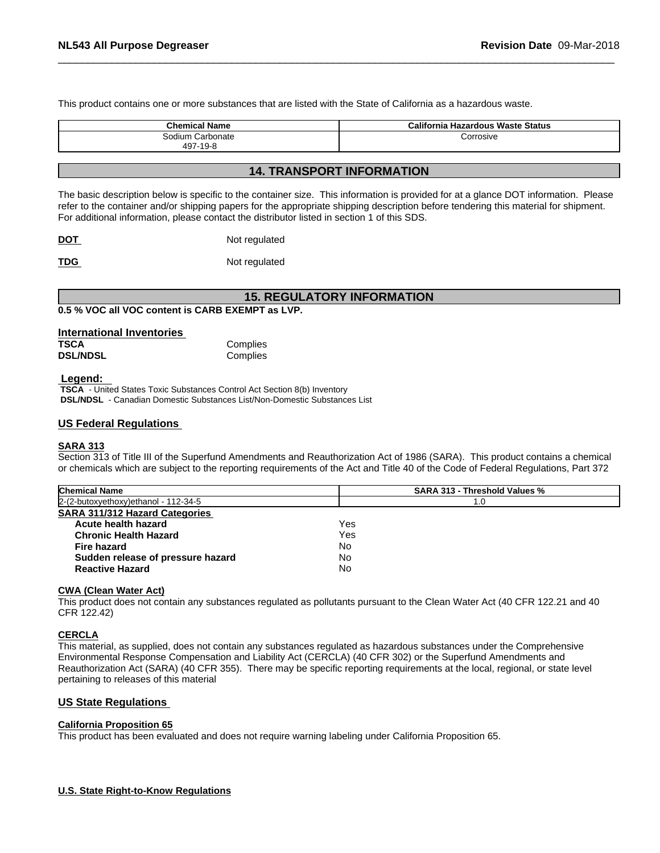This product contains one or more substances that are listed with the State of California as a hazardous waste.

| <b>Chemical Name</b>         | California Hazardous Waste Status |
|------------------------------|-----------------------------------|
| Sodium Carbonate<br>497-19-8 | Corrosive                         |

### **14. TRANSPORT INFORMATION**

The basic description below is specific to the container size. This information is provided for at a glance DOT information. Please refer to the container and/or shipping papers for the appropriate shipping description before tendering this material for shipment. For additional information, please contact the distributor listed in section 1 of this SDS.

| <b>DOT</b> | Not regulated |
|------------|---------------|
|            |               |

**TDG** Not regulated

## **15. REGULATORY INFORMATION**

**0.5 % VOC all VOC content is CARB EXEMPT as LVP.**

| International Inventories |          |  |
|---------------------------|----------|--|
| <b>TSCA</b>               | Complies |  |
| <b>DSL/NDSL</b>           | Complies |  |

#### **Legend:**

 **TSCA** - United States Toxic Substances Control Act Section 8(b) Inventory  **DSL/NDSL** - Canadian Domestic Substances List/Non-Domestic Substances List

#### **US Federal Regulations**

#### **SARA 313**

Section 313 of Title III of the Superfund Amendments and Reauthorization Act of 1986 (SARA). This product contains a chemical or chemicals which are subject to the reporting requirements of the Act and Title 40 of the Code of Federal Regulations, Part 372

| <b>Chemical Name</b>                   | <b>SARA 313 - Threshold Values %</b> |  |
|----------------------------------------|--------------------------------------|--|
| $2-(2-butoxyethoxy)ethanol - 112-34-5$ | 1.0                                  |  |
| <b>SARA 311/312 Hazard Categories</b>  |                                      |  |
| Acute health hazard                    | Yes                                  |  |
| <b>Chronic Health Hazard</b>           | Yes                                  |  |
| Fire hazard                            | No                                   |  |
| Sudden release of pressure hazard      | No                                   |  |
| <b>Reactive Hazard</b>                 | No                                   |  |

#### **CWA** (Clean Water Act)

This product does not contain any substances regulated as pollutants pursuant to the Clean Water Act (40 CFR 122.21 and 40 CFR 122.42)

#### **CERCLA**

This material, as supplied, does not contain any substances regulated as hazardous substances under the Comprehensive Environmental Response Compensation and Liability Act (CERCLA) (40 CFR 302) or the Superfund Amendments and Reauthorization Act (SARA) (40 CFR 355). There may be specific reporting requirements at the local, regional, or state level pertaining to releases of this material

#### **US State Regulations**

#### **California Proposition 65**

This product has been evaluated and does not require warning labeling under California Proposition 65.